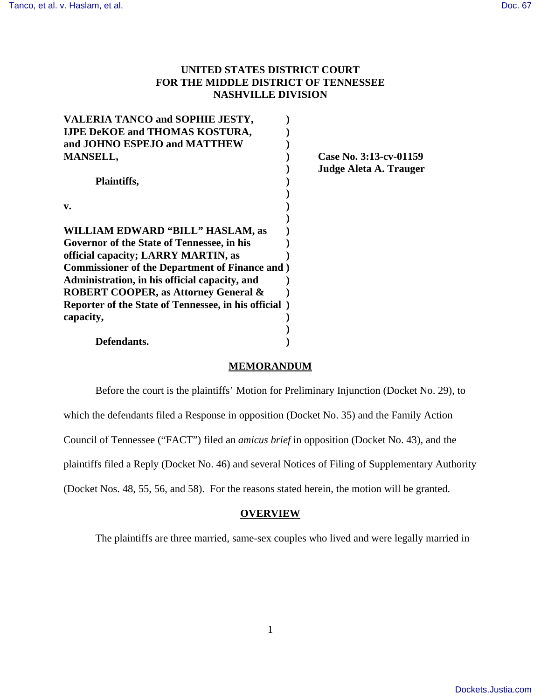# **UNITED STATES DISTRICT COURT FOR THE MIDDLE DISTRICT OF TENNESSEE NASHVILLE DIVISION**

| <b>VALERIA TANCO and SOPHIE JESTY,</b>                 |                        |
|--------------------------------------------------------|------------------------|
| <b>IJPE DeKOE and THOMAS KOSTURA,</b>                  |                        |
| and JOHNO ESPEJO and MATTHEW                           |                        |
| <b>MANSELL,</b>                                        | Case No. 3:13-cv-01159 |
|                                                        | Judge Aleta A. Trauger |
| Plaintiffs,                                            |                        |
| $V_{\bullet}$                                          |                        |
| <b>WILLIAM EDWARD "BILL" HASLAM, as</b>                |                        |
| Governor of the State of Tennessee, in his             |                        |
| official capacity; LARRY MARTIN, as                    |                        |
| <b>Commissioner of the Department of Finance and )</b> |                        |
| Administration, in his official capacity, and          |                        |
| <b>ROBERT COOPER, as Attorney General &amp;</b>        |                        |
| Reporter of the State of Tennessee, in his official )  |                        |
| capacity,                                              |                        |
|                                                        |                        |
| Defendants.                                            |                        |

### **MEMORANDUM**

Before the court is the plaintiffs' Motion for Preliminary Injunction (Docket No. 29), to

which the defendants filed a Response in opposition (Docket No. 35) and the Family Action

Council of Tennessee ("FACT") filed an *amicus brief* in opposition (Docket No. 43), and the

plaintiffs filed a Reply (Docket No. 46) and several Notices of Filing of Supplementary Authority

(Docket Nos. 48, 55, 56, and 58). For the reasons stated herein, the motion will be granted.

### **OVERVIEW**

The plaintiffs are three married, same-sex couples who lived and were legally married in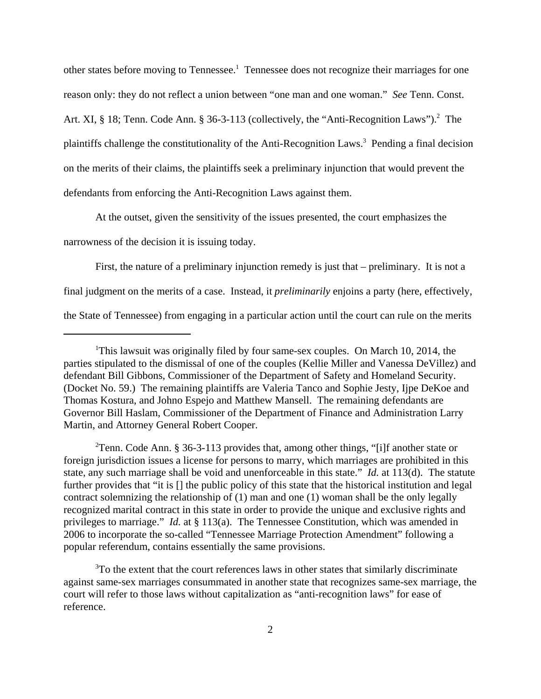other states before moving to Tennessee.<sup>1</sup> Tennessee does not recognize their marriages for one reason only: they do not reflect a union between "one man and one woman." *See* Tenn. Const. Art. XI, § 18; Tenn. Code Ann. § 36-3-113 (collectively, the "Anti-Recognition Laws").<sup>2</sup> The plaintiffs challenge the constitutionality of the Anti-Recognition Laws.<sup>3</sup> Pending a final decision on the merits of their claims, the plaintiffs seek a preliminary injunction that would prevent the defendants from enforcing the Anti-Recognition Laws against them.

At the outset, given the sensitivity of the issues presented, the court emphasizes the

narrowness of the decision it is issuing today.

First, the nature of a preliminary injunction remedy is just that – preliminary. It is not a final judgment on the merits of a case. Instead, it *preliminarily* enjoins a party (here, effectively, the State of Tennessee) from engaging in a particular action until the court can rule on the merits

<sup>2</sup>Tenn. Code Ann. § 36-3-113 provides that, among other things, "[i]f another state or foreign jurisdiction issues a license for persons to marry, which marriages are prohibited in this state, any such marriage shall be void and unenforceable in this state." *Id.* at 113(d). The statute further provides that "it is [] the public policy of this state that the historical institution and legal contract solemnizing the relationship of (1) man and one (1) woman shall be the only legally recognized marital contract in this state in order to provide the unique and exclusive rights and privileges to marriage." *Id.* at § 113(a). The Tennessee Constitution, which was amended in 2006 to incorporate the so-called "Tennessee Marriage Protection Amendment" following a popular referendum, contains essentially the same provisions.

<sup>3</sup>To the extent that the court references laws in other states that similarly discriminate against same-sex marriages consummated in another state that recognizes same-sex marriage, the court will refer to those laws without capitalization as "anti-recognition laws" for ease of reference.

<sup>&</sup>lt;sup>1</sup>This lawsuit was originally filed by four same-sex couples. On March 10, 2014, the parties stipulated to the dismissal of one of the couples (Kellie Miller and Vanessa DeVillez) and defendant Bill Gibbons, Commissioner of the Department of Safety and Homeland Security. (Docket No. 59.) The remaining plaintiffs are Valeria Tanco and Sophie Jesty, Ijpe DeKoe and Thomas Kostura, and Johno Espejo and Matthew Mansell. The remaining defendants are Governor Bill Haslam, Commissioner of the Department of Finance and Administration Larry Martin, and Attorney General Robert Cooper.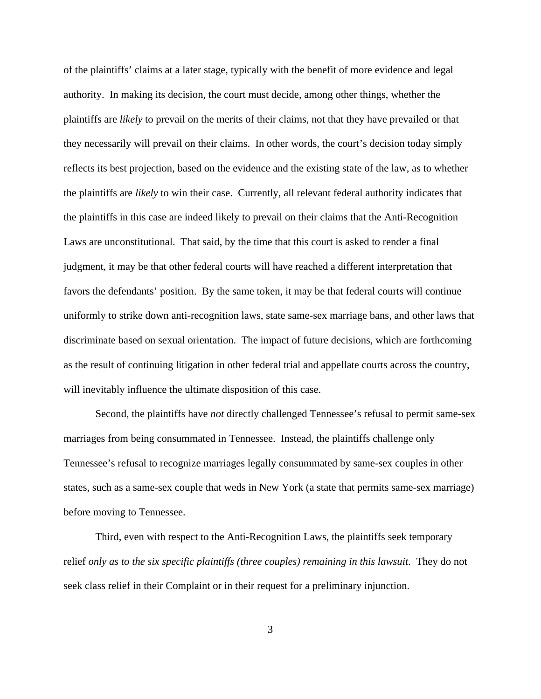of the plaintiffs' claims at a later stage, typically with the benefit of more evidence and legal authority. In making its decision, the court must decide, among other things, whether the plaintiffs are *likely* to prevail on the merits of their claims, not that they have prevailed or that they necessarily will prevail on their claims. In other words, the court's decision today simply reflects its best projection, based on the evidence and the existing state of the law, as to whether the plaintiffs are *likely* to win their case. Currently, all relevant federal authority indicates that the plaintiffs in this case are indeed likely to prevail on their claims that the Anti-Recognition Laws are unconstitutional. That said, by the time that this court is asked to render a final judgment, it may be that other federal courts will have reached a different interpretation that favors the defendants' position. By the same token, it may be that federal courts will continue uniformly to strike down anti-recognition laws, state same-sex marriage bans, and other laws that discriminate based on sexual orientation. The impact of future decisions, which are forthcoming as the result of continuing litigation in other federal trial and appellate courts across the country, will inevitably influence the ultimate disposition of this case.

Second, the plaintiffs have *not* directly challenged Tennessee's refusal to permit same-sex marriages from being consummated in Tennessee. Instead, the plaintiffs challenge only Tennessee's refusal to recognize marriages legally consummated by same-sex couples in other states, such as a same-sex couple that weds in New York (a state that permits same-sex marriage) before moving to Tennessee.

Third, even with respect to the Anti-Recognition Laws, the plaintiffs seek temporary relief *only as to the six specific plaintiffs (three couples) remaining in this lawsuit*. They do not seek class relief in their Complaint or in their request for a preliminary injunction.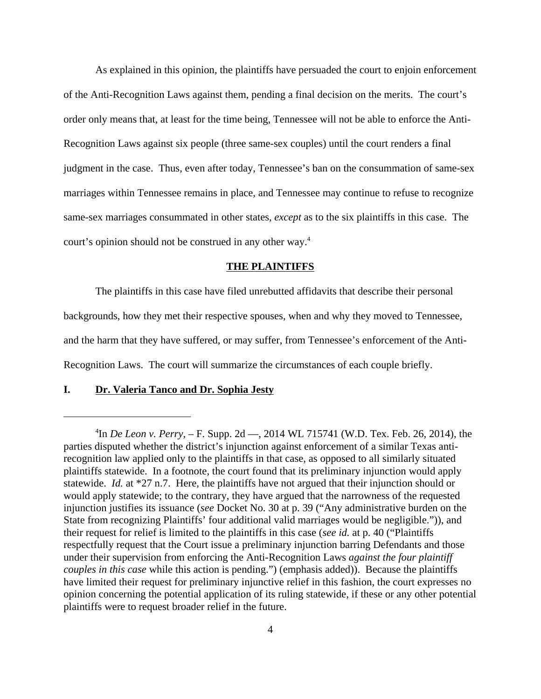As explained in this opinion, the plaintiffs have persuaded the court to enjoin enforcement of the Anti-Recognition Laws against them, pending a final decision on the merits. The court's order only means that, at least for the time being, Tennessee will not be able to enforce the Anti-Recognition Laws against six people (three same-sex couples) until the court renders a final judgment in the case. Thus, even after today, Tennessee's ban on the consummation of same-sex marriages within Tennessee remains in place, and Tennessee may continue to refuse to recognize same-sex marriages consummated in other states, *except* as to the six plaintiffs in this case. The court's opinion should not be construed in any other way.<sup>4</sup>

### **THE PLAINTIFFS**

The plaintiffs in this case have filed unrebutted affidavits that describe their personal backgrounds, how they met their respective spouses, when and why they moved to Tennessee, and the harm that they have suffered, or may suffer, from Tennessee's enforcement of the Anti-Recognition Laws. The court will summarize the circumstances of each couple briefly.

## **I. Dr. Valeria Tanco and Dr. Sophia Jesty**

<sup>4</sup> In *De Leon v. Perry*, – F. Supp. 2d —, 2014 WL 715741 (W.D. Tex. Feb. 26, 2014), the parties disputed whether the district's injunction against enforcement of a similar Texas antirecognition law applied only to the plaintiffs in that case, as opposed to all similarly situated plaintiffs statewide. In a footnote, the court found that its preliminary injunction would apply statewide. *Id.* at \*27 n.7. Here, the plaintiffs have not argued that their injunction should or would apply statewide; to the contrary, they have argued that the narrowness of the requested injunction justifies its issuance (*see* Docket No. 30 at p. 39 ("Any administrative burden on the State from recognizing Plaintiffs' four additional valid marriages would be negligible.")), and their request for relief is limited to the plaintiffs in this case (*see id.* at p. 40 ("Plaintiffs respectfully request that the Court issue a preliminary injunction barring Defendants and those under their supervision from enforcing the Anti-Recognition Laws *against the four plaintiff couples in this case* while this action is pending.") (emphasis added)). Because the plaintiffs have limited their request for preliminary injunctive relief in this fashion, the court expresses no opinion concerning the potential application of its ruling statewide, if these or any other potential plaintiffs were to request broader relief in the future.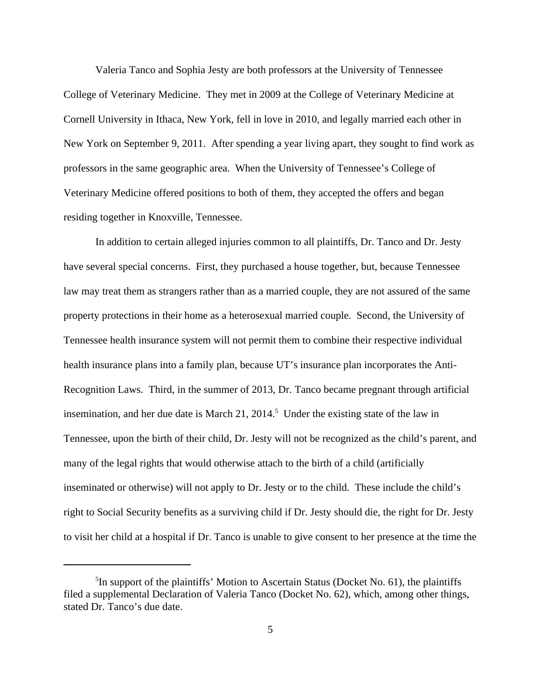Valeria Tanco and Sophia Jesty are both professors at the University of Tennessee College of Veterinary Medicine. They met in 2009 at the College of Veterinary Medicine at Cornell University in Ithaca, New York, fell in love in 2010, and legally married each other in New York on September 9, 2011. After spending a year living apart, they sought to find work as professors in the same geographic area. When the University of Tennessee's College of Veterinary Medicine offered positions to both of them, they accepted the offers and began residing together in Knoxville, Tennessee.

In addition to certain alleged injuries common to all plaintiffs, Dr. Tanco and Dr. Jesty have several special concerns. First, they purchased a house together, but, because Tennessee law may treat them as strangers rather than as a married couple, they are not assured of the same property protections in their home as a heterosexual married couple. Second, the University of Tennessee health insurance system will not permit them to combine their respective individual health insurance plans into a family plan, because UT's insurance plan incorporates the Anti-Recognition Laws. Third, in the summer of 2013, Dr. Tanco became pregnant through artificial insemination, and her due date is March 21,  $2014<sup>5</sup>$  Under the existing state of the law in Tennessee, upon the birth of their child, Dr. Jesty will not be recognized as the child's parent, and many of the legal rights that would otherwise attach to the birth of a child (artificially inseminated or otherwise) will not apply to Dr. Jesty or to the child. These include the child's right to Social Security benefits as a surviving child if Dr. Jesty should die, the right for Dr. Jesty to visit her child at a hospital if Dr. Tanco is unable to give consent to her presence at the time the

<sup>&</sup>lt;sup>5</sup>In support of the plaintiffs' Motion to Ascertain Status (Docket No. 61), the plaintiffs filed a supplemental Declaration of Valeria Tanco (Docket No. 62), which, among other things, stated Dr. Tanco's due date.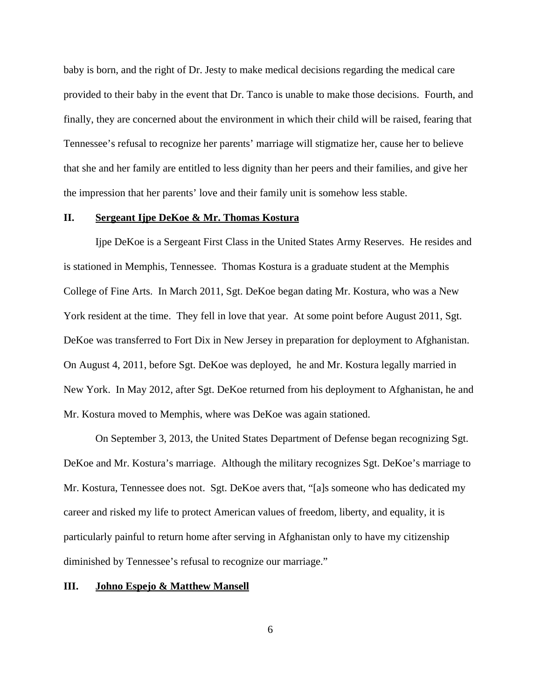baby is born, and the right of Dr. Jesty to make medical decisions regarding the medical care provided to their baby in the event that Dr. Tanco is unable to make those decisions. Fourth, and finally, they are concerned about the environment in which their child will be raised, fearing that Tennessee's refusal to recognize her parents' marriage will stigmatize her, cause her to believe that she and her family are entitled to less dignity than her peers and their families, and give her the impression that her parents' love and their family unit is somehow less stable.

### **II. Sergeant Ijpe DeKoe & Mr. Thomas Kostura**

Ijpe DeKoe is a Sergeant First Class in the United States Army Reserves. He resides and is stationed in Memphis, Tennessee. Thomas Kostura is a graduate student at the Memphis College of Fine Arts. In March 2011, Sgt. DeKoe began dating Mr. Kostura, who was a New York resident at the time. They fell in love that year. At some point before August 2011, Sgt. DeKoe was transferred to Fort Dix in New Jersey in preparation for deployment to Afghanistan. On August 4, 2011, before Sgt. DeKoe was deployed, he and Mr. Kostura legally married in New York. In May 2012, after Sgt. DeKoe returned from his deployment to Afghanistan, he and Mr. Kostura moved to Memphis, where was DeKoe was again stationed.

On September 3, 2013, the United States Department of Defense began recognizing Sgt. DeKoe and Mr. Kostura's marriage. Although the military recognizes Sgt. DeKoe's marriage to Mr. Kostura, Tennessee does not. Sgt. DeKoe avers that, "[a]s someone who has dedicated my career and risked my life to protect American values of freedom, liberty, and equality, it is particularly painful to return home after serving in Afghanistan only to have my citizenship diminished by Tennessee's refusal to recognize our marriage."

### **III. Johno Espejo & Matthew Mansell**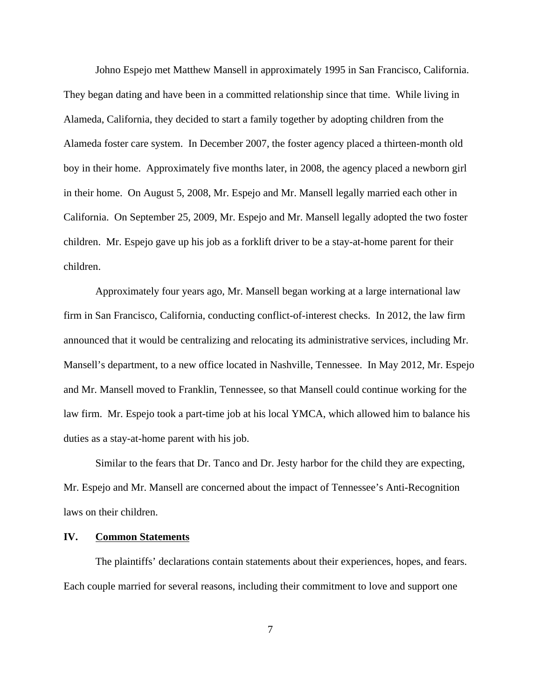Johno Espejo met Matthew Mansell in approximately 1995 in San Francisco, California. They began dating and have been in a committed relationship since that time. While living in Alameda, California, they decided to start a family together by adopting children from the Alameda foster care system. In December 2007, the foster agency placed a thirteen-month old boy in their home. Approximately five months later, in 2008, the agency placed a newborn girl in their home. On August 5, 2008, Mr. Espejo and Mr. Mansell legally married each other in California. On September 25, 2009, Mr. Espejo and Mr. Mansell legally adopted the two foster children. Mr. Espejo gave up his job as a forklift driver to be a stay-at-home parent for their children.

Approximately four years ago, Mr. Mansell began working at a large international law firm in San Francisco, California, conducting conflict-of-interest checks. In 2012, the law firm announced that it would be centralizing and relocating its administrative services, including Mr. Mansell's department, to a new office located in Nashville, Tennessee. In May 2012, Mr. Espejo and Mr. Mansell moved to Franklin, Tennessee, so that Mansell could continue working for the law firm. Mr. Espejo took a part-time job at his local YMCA, which allowed him to balance his duties as a stay-at-home parent with his job.

Similar to the fears that Dr. Tanco and Dr. Jesty harbor for the child they are expecting, Mr. Espejo and Mr. Mansell are concerned about the impact of Tennessee's Anti-Recognition laws on their children.

# **IV. Common Statements**

The plaintiffs' declarations contain statements about their experiences, hopes, and fears. Each couple married for several reasons, including their commitment to love and support one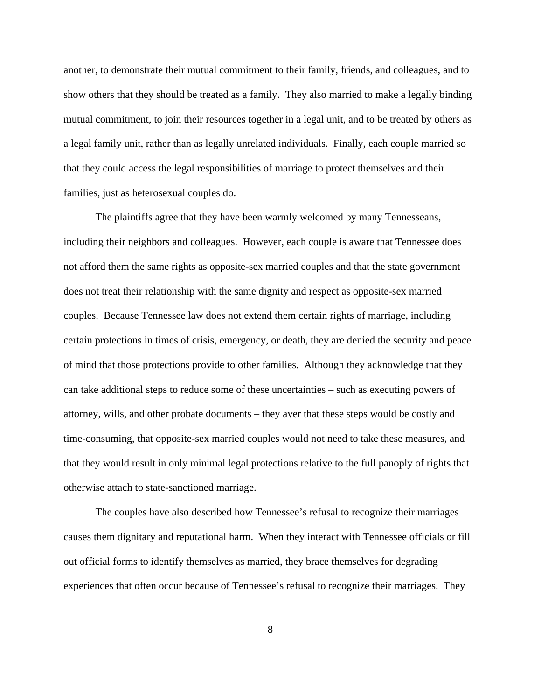another, to demonstrate their mutual commitment to their family, friends, and colleagues, and to show others that they should be treated as a family. They also married to make a legally binding mutual commitment, to join their resources together in a legal unit, and to be treated by others as a legal family unit, rather than as legally unrelated individuals. Finally, each couple married so that they could access the legal responsibilities of marriage to protect themselves and their families, just as heterosexual couples do.

The plaintiffs agree that they have been warmly welcomed by many Tennesseans, including their neighbors and colleagues. However, each couple is aware that Tennessee does not afford them the same rights as opposite-sex married couples and that the state government does not treat their relationship with the same dignity and respect as opposite-sex married couples. Because Tennessee law does not extend them certain rights of marriage, including certain protections in times of crisis, emergency, or death, they are denied the security and peace of mind that those protections provide to other families. Although they acknowledge that they can take additional steps to reduce some of these uncertainties – such as executing powers of attorney, wills, and other probate documents – they aver that these steps would be costly and time-consuming, that opposite-sex married couples would not need to take these measures, and that they would result in only minimal legal protections relative to the full panoply of rights that otherwise attach to state-sanctioned marriage.

The couples have also described how Tennessee's refusal to recognize their marriages causes them dignitary and reputational harm. When they interact with Tennessee officials or fill out official forms to identify themselves as married, they brace themselves for degrading experiences that often occur because of Tennessee's refusal to recognize their marriages. They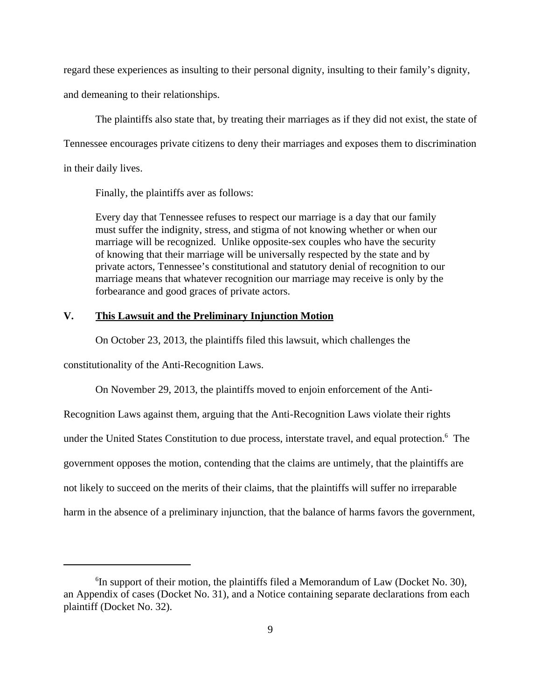regard these experiences as insulting to their personal dignity, insulting to their family's dignity,

and demeaning to their relationships.

The plaintiffs also state that, by treating their marriages as if they did not exist, the state of Tennessee encourages private citizens to deny their marriages and exposes them to discrimination in their daily lives.

Finally, the plaintiffs aver as follows:

Every day that Tennessee refuses to respect our marriage is a day that our family must suffer the indignity, stress, and stigma of not knowing whether or when our marriage will be recognized. Unlike opposite-sex couples who have the security of knowing that their marriage will be universally respected by the state and by private actors, Tennessee's constitutional and statutory denial of recognition to our marriage means that whatever recognition our marriage may receive is only by the forbearance and good graces of private actors.

# **V. This Lawsuit and the Preliminary Injunction Motion**

On October 23, 2013, the plaintiffs filed this lawsuit, which challenges the

constitutionality of the Anti-Recognition Laws.

On November 29, 2013, the plaintiffs moved to enjoin enforcement of the Anti-

Recognition Laws against them, arguing that the Anti-Recognition Laws violate their rights under the United States Constitution to due process, interstate travel, and equal protection.<sup>6</sup> The government opposes the motion, contending that the claims are untimely, that the plaintiffs are not likely to succeed on the merits of their claims, that the plaintiffs will suffer no irreparable harm in the absence of a preliminary injunction, that the balance of harms favors the government,

<sup>&</sup>lt;sup>6</sup>In support of their motion, the plaintiffs filed a Memorandum of Law (Docket No. 30), an Appendix of cases (Docket No. 31), and a Notice containing separate declarations from each plaintiff (Docket No. 32).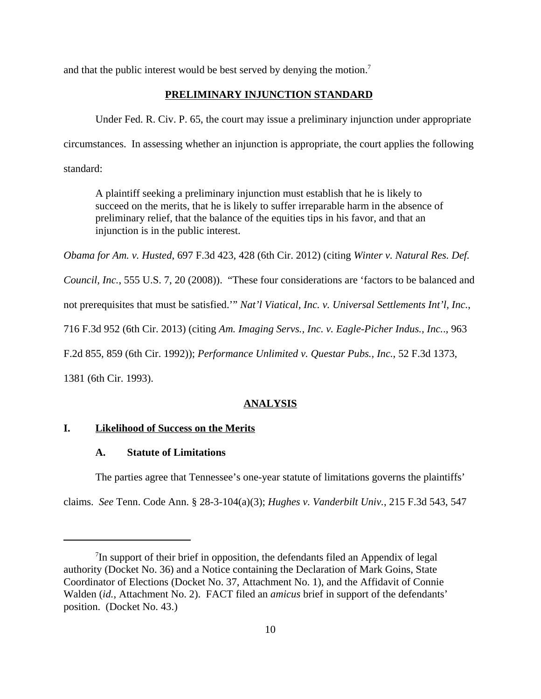and that the public interest would be best served by denying the motion.<sup>7</sup>

# **PRELIMINARY INJUNCTION STANDARD**

Under Fed. R. Civ. P. 65, the court may issue a preliminary injunction under appropriate circumstances. In assessing whether an injunction is appropriate, the court applies the following standard:

A plaintiff seeking a preliminary injunction must establish that he is likely to succeed on the merits, that he is likely to suffer irreparable harm in the absence of preliminary relief, that the balance of the equities tips in his favor, and that an injunction is in the public interest.

*Obama for Am. v. Husted*, 697 F.3d 423, 428 (6th Cir. 2012) (citing *Winter v. Natural Res. Def.*

*Council, Inc.*, 555 U.S. 7, 20 (2008)). "These four considerations are 'factors to be balanced and

not prerequisites that must be satisfied.'" *Nat'l Viatical, Inc. v. Universal Settlements Int'l, Inc.*,

716 F.3d 952 (6th Cir. 2013) (citing *Am. Imaging Servs., Inc. v. Eagle-Picher Indus., Inc.*., 963

F.2d 855, 859 (6th Cir. 1992)); *Performance Unlimited v. Questar Pubs., Inc.*, 52 F.3d 1373,

1381 (6th Cir. 1993).

#### **ANALYSIS**

# **I. Likelihood of Success on the Merits**

### **A. Statute of Limitations**

The parties agree that Tennessee's one-year statute of limitations governs the plaintiffs'

claims. *See* Tenn. Code Ann. § 28-3-104(a)(3); *Hughes v. Vanderbilt Univ.*, 215 F.3d 543, 547

<sup>&</sup>lt;sup>7</sup>In support of their brief in opposition, the defendants filed an Appendix of legal authority (Docket No. 36) and a Notice containing the Declaration of Mark Goins, State Coordinator of Elections (Docket No. 37, Attachment No. 1), and the Affidavit of Connie Walden (*id.*, Attachment No. 2). FACT filed an *amicus* brief in support of the defendants' position. (Docket No. 43.)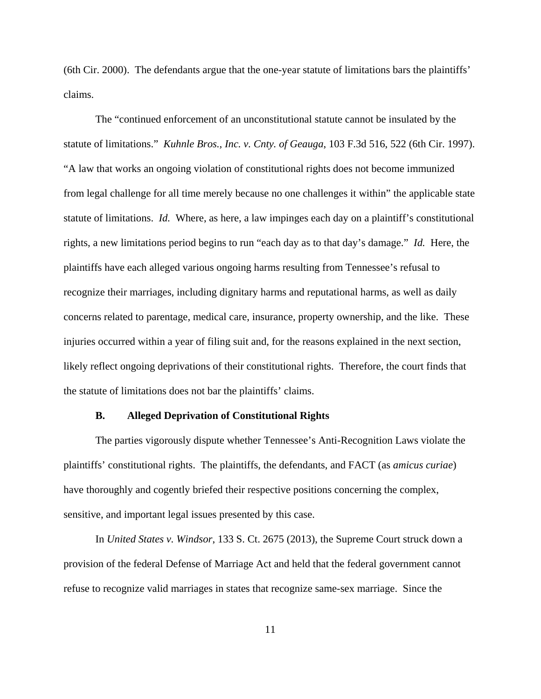(6th Cir. 2000). The defendants argue that the one-year statute of limitations bars the plaintiffs' claims.

The "continued enforcement of an unconstitutional statute cannot be insulated by the statute of limitations." *Kuhnle Bros., Inc. v. Cnty. of Geauga*, 103 F.3d 516, 522 (6th Cir. 1997). "A law that works an ongoing violation of constitutional rights does not become immunized from legal challenge for all time merely because no one challenges it within" the applicable state statute of limitations. *Id.* Where, as here, a law impinges each day on a plaintiff's constitutional rights, a new limitations period begins to run "each day as to that day's damage." *Id.* Here, the plaintiffs have each alleged various ongoing harms resulting from Tennessee's refusal to recognize their marriages, including dignitary harms and reputational harms, as well as daily concerns related to parentage, medical care, insurance, property ownership, and the like. These injuries occurred within a year of filing suit and, for the reasons explained in the next section, likely reflect ongoing deprivations of their constitutional rights. Therefore, the court finds that the statute of limitations does not bar the plaintiffs' claims.

# **B. Alleged Deprivation of Constitutional Rights**

The parties vigorously dispute whether Tennessee's Anti-Recognition Laws violate the plaintiffs' constitutional rights. The plaintiffs, the defendants, and FACT (as *amicus curiae*) have thoroughly and cogently briefed their respective positions concerning the complex, sensitive, and important legal issues presented by this case.

In *United States v. Windsor*, 133 S. Ct. 2675 (2013), the Supreme Court struck down a provision of the federal Defense of Marriage Act and held that the federal government cannot refuse to recognize valid marriages in states that recognize same-sex marriage. Since the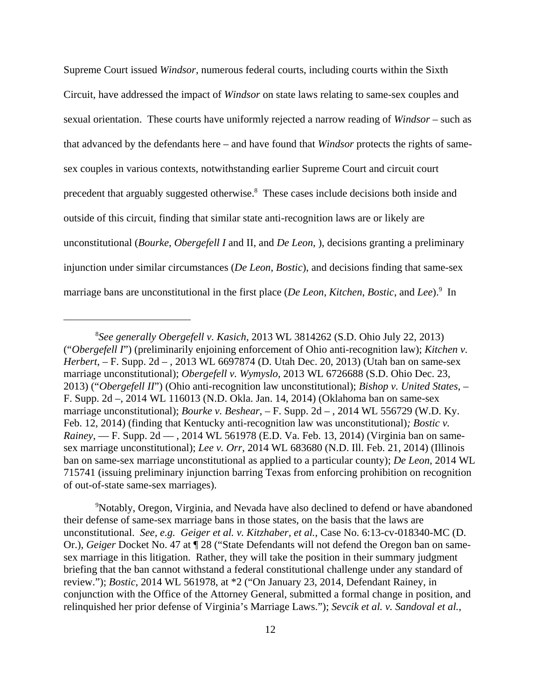Supreme Court issued *Windsor*, numerous federal courts, including courts within the Sixth Circuit, have addressed the impact of *Windsor* on state laws relating to same-sex couples and sexual orientation. These courts have uniformly rejected a narrow reading of *Windsor* – such as that advanced by the defendants here – and have found that *Windsor* protects the rights of samesex couples in various contexts, notwithstanding earlier Supreme Court and circuit court precedent that arguably suggested otherwise.<sup>8</sup> These cases include decisions both inside and outside of this circuit, finding that similar state anti-recognition laws are or likely are unconstitutional (*Bourke*, *Obergefell I* and II, and *De Leon*, ), decisions granting a preliminary injunction under similar circumstances (*De Leon*, *Bostic*), and decisions finding that same-sex marriage bans are unconstitutional in the first place (*De Leon*, *Kitchen*, *Bostic*, and *Lee*).<sup>9</sup> In

<sup>9</sup>Notably, Oregon, Virginia, and Nevada have also declined to defend or have abandoned their defense of same-sex marriage bans in those states, on the basis that the laws are unconstitutional. *See, e.g. Geiger et al. v. Kitzhaber, et al.*, Case No. 6:13-cv-018340-MC (D. Or.), *Geiger* Docket No. 47 at ¶ 28 ("State Defendants will not defend the Oregon ban on samesex marriage in this litigation. Rather, they will take the position in their summary judgment briefing that the ban cannot withstand a federal constitutional challenge under any standard of review."); *Bostic*, 2014 WL 561978, at \*2 ("On January 23, 2014, Defendant Rainey, in conjunction with the Office of the Attorney General, submitted a formal change in position, and relinquished her prior defense of Virginia's Marriage Laws."); *Sevcik et al. v. Sandoval et al.*,

<sup>8</sup> *See generally Obergefell v. Kasich*, 2013 WL 3814262 (S.D. Ohio July 22, 2013) ("*Obergefell I*") (preliminarily enjoining enforcement of Ohio anti-recognition law); *Kitchen v. Herbert*, – F. Supp. 2d – , 2013 WL 6697874 (D. Utah Dec. 20, 2013) (Utah ban on same-sex marriage unconstitutional); *Obergefell v. Wymyslo*, 2013 WL 6726688 (S.D. Ohio Dec. 23, 2013) ("*Obergefell II*") (Ohio anti-recognition law unconstitutional); *Bishop v. United States*, – F. Supp. 2d –, 2014 WL 116013 (N.D. Okla. Jan. 14, 2014) (Oklahoma ban on same-sex marriage unconstitutional); *Bourke v. Beshear*, – F. Supp. 2d – , 2014 WL 556729 (W.D. Ky. Feb. 12, 2014) (finding that Kentucky anti-recognition law was unconstitutional)*; Bostic v. Rainey*, — F. Supp. 2d — , 2014 WL 561978 (E.D. Va. Feb. 13, 2014) (Virginia ban on samesex marriage unconstitutional); *Lee v. Orr*, 2014 WL 683680 (N.D. Ill. Feb. 21, 2014) (Illinois ban on same-sex marriage unconstitutional as applied to a particular county); *De Leon*, 2014 WL 715741 (issuing preliminary injunction barring Texas from enforcing prohibition on recognition of out-of-state same-sex marriages).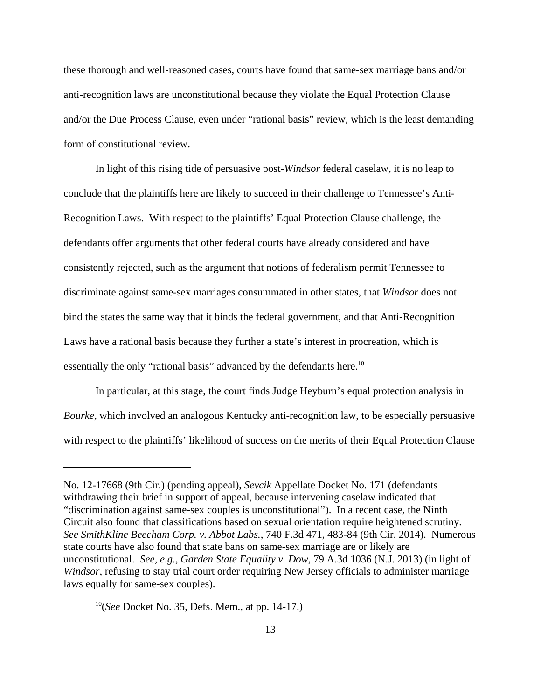these thorough and well-reasoned cases, courts have found that same-sex marriage bans and/or anti-recognition laws are unconstitutional because they violate the Equal Protection Clause and/or the Due Process Clause, even under "rational basis" review, which is the least demanding form of constitutional review.

In light of this rising tide of persuasive post*-Windsor* federal caselaw, it is no leap to conclude that the plaintiffs here are likely to succeed in their challenge to Tennessee's Anti-Recognition Laws. With respect to the plaintiffs' Equal Protection Clause challenge, the defendants offer arguments that other federal courts have already considered and have consistently rejected, such as the argument that notions of federalism permit Tennessee to discriminate against same-sex marriages consummated in other states, that *Windsor* does not bind the states the same way that it binds the federal government, and that Anti-Recognition Laws have a rational basis because they further a state's interest in procreation, which is essentially the only "rational basis" advanced by the defendants here.<sup>10</sup>

In particular, at this stage, the court finds Judge Heyburn's equal protection analysis in *Bourke*, which involved an analogous Kentucky anti-recognition law, to be especially persuasive with respect to the plaintiffs' likelihood of success on the merits of their Equal Protection Clause

No. 12-17668 (9th Cir.) (pending appeal), *Sevcik* Appellate Docket No. 171 (defendants withdrawing their brief in support of appeal, because intervening caselaw indicated that "discrimination against same-sex couples is unconstitutional"). In a recent case, the Ninth Circuit also found that classifications based on sexual orientation require heightened scrutiny. *See SmithKline Beecham Corp. v. Abbot Labs.*, 740 F.3d 471, 483-84 (9th Cir. 2014). Numerous state courts have also found that state bans on same-sex marriage are or likely are unconstitutional. *See, e.g.*, *Garden State Equality v. Dow*, 79 A.3d 1036 (N.J. 2013) (in light of *Windsor*, refusing to stay trial court order requiring New Jersey officials to administer marriage laws equally for same-sex couples).

<sup>10</sup>(*See* Docket No. 35, Defs. Mem., at pp. 14-17.)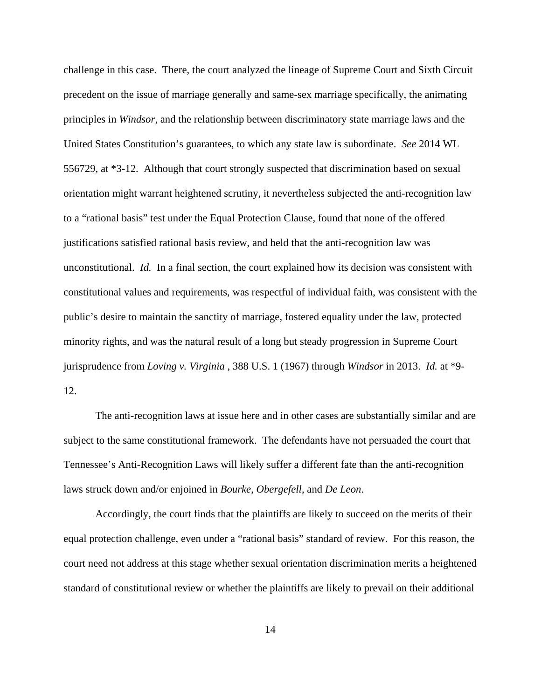challenge in this case. There, the court analyzed the lineage of Supreme Court and Sixth Circuit precedent on the issue of marriage generally and same-sex marriage specifically, the animating principles in *Windsor*, and the relationship between discriminatory state marriage laws and the United States Constitution's guarantees, to which any state law is subordinate. *See* 2014 WL 556729, at \*3-12. Although that court strongly suspected that discrimination based on sexual orientation might warrant heightened scrutiny, it nevertheless subjected the anti-recognition law to a "rational basis" test under the Equal Protection Clause, found that none of the offered justifications satisfied rational basis review, and held that the anti-recognition law was unconstitutional. *Id.* In a final section, the court explained how its decision was consistent with constitutional values and requirements, was respectful of individual faith, was consistent with the public's desire to maintain the sanctity of marriage, fostered equality under the law, protected minority rights, and was the natural result of a long but steady progression in Supreme Court jurisprudence from *Loving v. Virginia* , 388 U.S. 1 (1967) through *Windsor* in 2013. *Id.* at \*9- 12.

The anti-recognition laws at issue here and in other cases are substantially similar and are subject to the same constitutional framework. The defendants have not persuaded the court that Tennessee's Anti-Recognition Laws will likely suffer a different fate than the anti-recognition laws struck down and/or enjoined in *Bourke*, *Obergefell*, and *De Leon*.

Accordingly, the court finds that the plaintiffs are likely to succeed on the merits of their equal protection challenge, even under a "rational basis" standard of review. For this reason, the court need not address at this stage whether sexual orientation discrimination merits a heightened standard of constitutional review or whether the plaintiffs are likely to prevail on their additional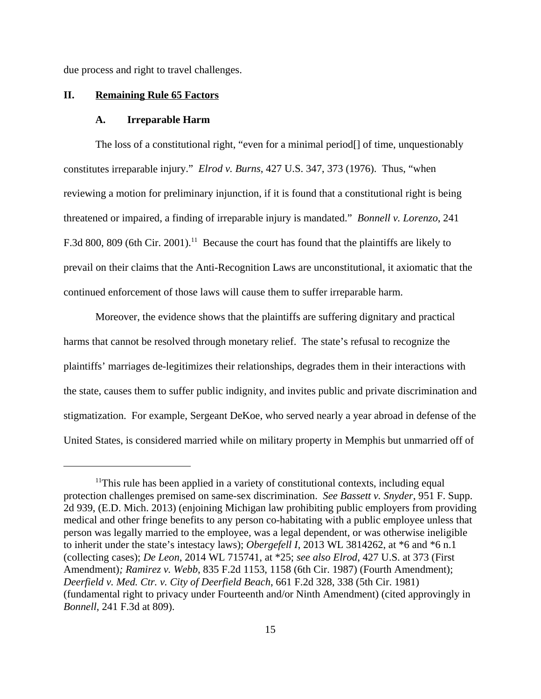due process and right to travel challenges.

#### **II. Remaining Rule 65 Factors**

#### **A. Irreparable Harm**

The loss of a constitutional right, "even for a minimal period[] of time, unquestionably constitutes irreparable injury." *Elrod v. Burns*, 427 U.S. 347, 373 (1976). Thus, "when reviewing a motion for preliminary injunction, if it is found that a constitutional right is being threatened or impaired, a finding of irreparable injury is mandated." *Bonnell v. Lorenzo*, 241 F.3d 800, 809 (6th Cir. 2001).<sup>11</sup> Because the court has found that the plaintiffs are likely to prevail on their claims that the Anti-Recognition Laws are unconstitutional, it axiomatic that the continued enforcement of those laws will cause them to suffer irreparable harm.

Moreover, the evidence shows that the plaintiffs are suffering dignitary and practical harms that cannot be resolved through monetary relief. The state's refusal to recognize the plaintiffs' marriages de-legitimizes their relationships, degrades them in their interactions with the state, causes them to suffer public indignity, and invites public and private discrimination and stigmatization. For example, Sergeant DeKoe, who served nearly a year abroad in defense of the United States, is considered married while on military property in Memphis but unmarried off of

<sup>&</sup>lt;sup>11</sup>This rule has been applied in a variety of constitutional contexts, including equal protection challenges premised on same-sex discrimination. *See Bassett v. Snyder*, 951 F. Supp. 2d 939, (E.D. Mich. 2013) (enjoining Michigan law prohibiting public employers from providing medical and other fringe benefits to any person co-habitating with a public employee unless that person was legally married to the employee, was a legal dependent, or was otherwise ineligible to inherit under the state's intestacy laws); *Obergefell I*, 2013 WL 3814262, at \*6 and \*6 n.1 (collecting cases); *De Leon*, 2014 WL 715741, at \*25; *see also Elrod*, 427 U.S. at 373 (First Amendment)*; Ramirez v. Webb*, 835 F.2d 1153, 1158 (6th Cir. 1987) (Fourth Amendment); *Deerfield v. Med. Ctr. v. City of Deerfield Beach*, 661 F.2d 328, 338 (5th Cir. 1981) (fundamental right to privacy under Fourteenth and/or Ninth Amendment) (cited approvingly in *Bonnell*, 241 F.3d at 809).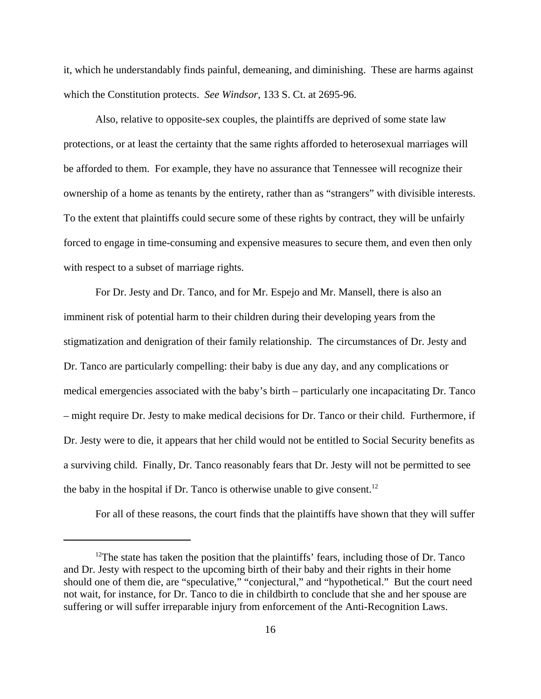it, which he understandably finds painful, demeaning, and diminishing. These are harms against which the Constitution protects. *See Windsor*, 133 S. Ct. at 2695-96.

Also, relative to opposite-sex couples, the plaintiffs are deprived of some state law protections, or at least the certainty that the same rights afforded to heterosexual marriages will be afforded to them. For example, they have no assurance that Tennessee will recognize their ownership of a home as tenants by the entirety, rather than as "strangers" with divisible interests. To the extent that plaintiffs could secure some of these rights by contract, they will be unfairly forced to engage in time-consuming and expensive measures to secure them, and even then only with respect to a subset of marriage rights.

For Dr. Jesty and Dr. Tanco, and for Mr. Espejo and Mr. Mansell, there is also an imminent risk of potential harm to their children during their developing years from the stigmatization and denigration of their family relationship. The circumstances of Dr. Jesty and Dr. Tanco are particularly compelling: their baby is due any day, and any complications or medical emergencies associated with the baby's birth – particularly one incapacitating Dr. Tanco – might require Dr. Jesty to make medical decisions for Dr. Tanco or their child. Furthermore, if Dr. Jesty were to die, it appears that her child would not be entitled to Social Security benefits as a surviving child. Finally, Dr. Tanco reasonably fears that Dr. Jesty will not be permitted to see the baby in the hospital if Dr. Tanco is otherwise unable to give consent.<sup>12</sup>

For all of these reasons, the court finds that the plaintiffs have shown that they will suffer

<sup>&</sup>lt;sup>12</sup>The state has taken the position that the plaintiffs' fears, including those of Dr. Tanco and Dr. Jesty with respect to the upcoming birth of their baby and their rights in their home should one of them die, are "speculative," "conjectural," and "hypothetical." But the court need not wait, for instance, for Dr. Tanco to die in childbirth to conclude that she and her spouse are suffering or will suffer irreparable injury from enforcement of the Anti-Recognition Laws.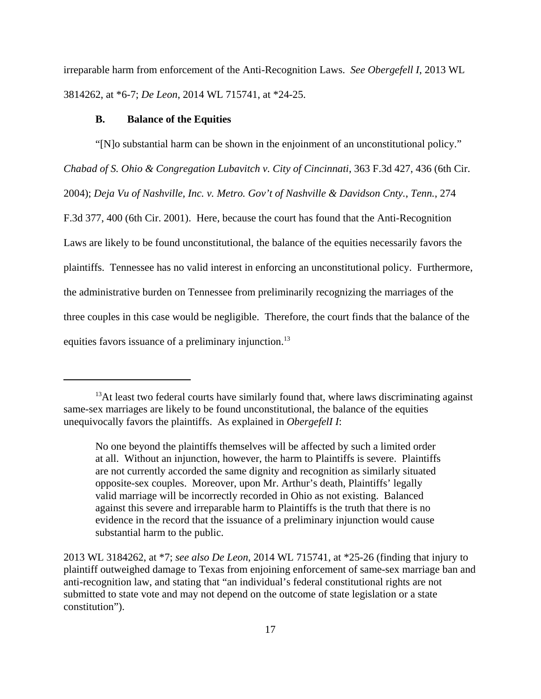irreparable harm from enforcement of the Anti-Recognition Laws. *See Obergefell I*, 2013 WL 3814262, at \*6-7; *De Leon*, 2014 WL 715741, at \*24-25.

#### **B. Balance of the Equities**

"[N]o substantial harm can be shown in the enjoinment of an unconstitutional policy." *Chabad of S. Ohio & Congregation Lubavitch v. City of Cincinnati*, 363 F.3d 427, 436 (6th Cir. 2004); *Deja Vu of Nashville, Inc. v. Metro. Gov't of Nashville & Davidson Cnty.*, *Tenn.*, 274 F.3d 377, 400 (6th Cir. 2001). Here, because the court has found that the Anti-Recognition Laws are likely to be found unconstitutional, the balance of the equities necessarily favors the plaintiffs. Tennessee has no valid interest in enforcing an unconstitutional policy. Furthermore, the administrative burden on Tennessee from preliminarily recognizing the marriages of the three couples in this case would be negligible. Therefore, the court finds that the balance of the equities favors issuance of a preliminary injunction.<sup>13</sup>

 $13$ At least two federal courts have similarly found that, where laws discriminating against same-sex marriages are likely to be found unconstitutional, the balance of the equities unequivocally favors the plaintiffs. As explained in *ObergefelI I*:

No one beyond the plaintiffs themselves will be affected by such a limited order at all. Without an injunction, however, the harm to Plaintiffs is severe. Plaintiffs are not currently accorded the same dignity and recognition as similarly situated opposite-sex couples. Moreover, upon Mr. Arthur's death, Plaintiffs' legally valid marriage will be incorrectly recorded in Ohio as not existing. Balanced against this severe and irreparable harm to Plaintiffs is the truth that there is no evidence in the record that the issuance of a preliminary injunction would cause substantial harm to the public.

<sup>2013</sup> WL 3184262, at \*7; *see also De Leon*, 2014 WL 715741, at \*25-26 (finding that injury to plaintiff outweighed damage to Texas from enjoining enforcement of same-sex marriage ban and anti-recognition law, and stating that "an individual's federal constitutional rights are not submitted to state vote and may not depend on the outcome of state legislation or a state constitution").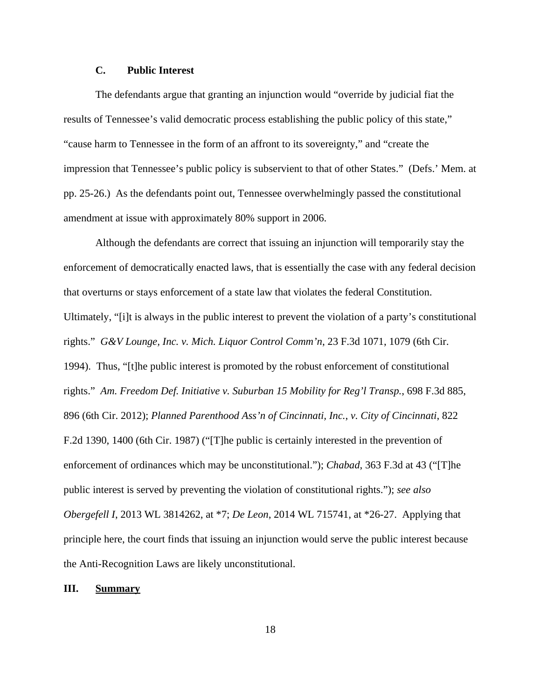# **C. Public Interest**

The defendants argue that granting an injunction would "override by judicial fiat the results of Tennessee's valid democratic process establishing the public policy of this state," "cause harm to Tennessee in the form of an affront to its sovereignty," and "create the impression that Tennessee's public policy is subservient to that of other States." (Defs.' Mem. at pp. 25-26.) As the defendants point out, Tennessee overwhelmingly passed the constitutional amendment at issue with approximately 80% support in 2006.

Although the defendants are correct that issuing an injunction will temporarily stay the enforcement of democratically enacted laws, that is essentially the case with any federal decision that overturns or stays enforcement of a state law that violates the federal Constitution. Ultimately, "[i]t is always in the public interest to prevent the violation of a party's constitutional rights." *G&V Lounge, Inc. v. Mich. Liquor Control Comm'n*, 23 F.3d 1071, 1079 (6th Cir. 1994). Thus, "[t]he public interest is promoted by the robust enforcement of constitutional rights." *Am. Freedom Def. Initiative v. Suburban 15 Mobility for Reg'l Transp.*, 698 F.3d 885, 896 (6th Cir. 2012); *Planned Parenthood Ass'n of Cincinnati, Inc.*, *v. City of Cincinnati*, 822 F.2d 1390, 1400 (6th Cir. 1987) ("[T]he public is certainly interested in the prevention of enforcement of ordinances which may be unconstitutional."); *Chabad*, 363 F.3d at 43 ("[T]he public interest is served by preventing the violation of constitutional rights."); *see also Obergefell I*, 2013 WL 3814262, at \*7; *De Leon*, 2014 WL 715741, at \*26-27. Applying that principle here, the court finds that issuing an injunction would serve the public interest because the Anti-Recognition Laws are likely unconstitutional.

### **III. Summary**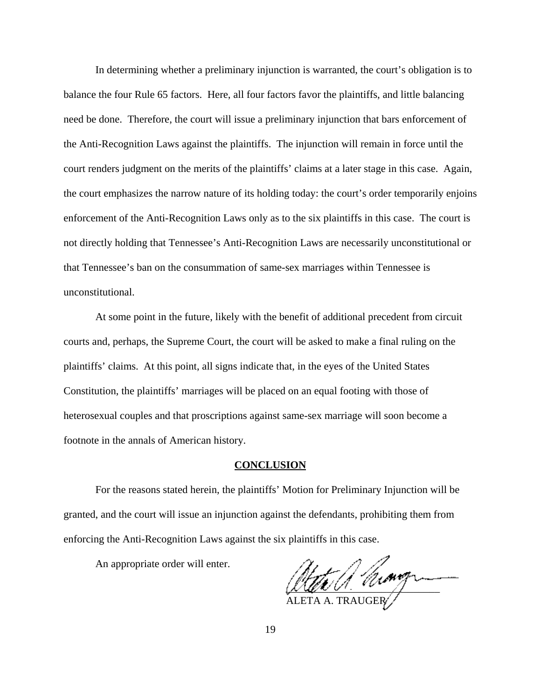In determining whether a preliminary injunction is warranted, the court's obligation is to balance the four Rule 65 factors. Here, all four factors favor the plaintiffs, and little balancing need be done. Therefore, the court will issue a preliminary injunction that bars enforcement of the Anti-Recognition Laws against the plaintiffs. The injunction will remain in force until the court renders judgment on the merits of the plaintiffs' claims at a later stage in this case. Again, the court emphasizes the narrow nature of its holding today: the court's order temporarily enjoins enforcement of the Anti-Recognition Laws only as to the six plaintiffs in this case. The court is not directly holding that Tennessee's Anti-Recognition Laws are necessarily unconstitutional or that Tennessee's ban on the consummation of same-sex marriages within Tennessee is unconstitutional.

At some point in the future, likely with the benefit of additional precedent from circuit courts and, perhaps, the Supreme Court, the court will be asked to make a final ruling on the plaintiffs' claims. At this point, all signs indicate that, in the eyes of the United States Constitution, the plaintiffs' marriages will be placed on an equal footing with those of heterosexual couples and that proscriptions against same-sex marriage will soon become a footnote in the annals of American history.

## **CONCLUSION**

For the reasons stated herein, the plaintiffs' Motion for Preliminary Injunction will be granted, and the court will issue an injunction against the defendants, prohibiting them from enforcing the Anti-Recognition Laws against the six plaintiffs in this case.

An appropriate order will enter.

 $\mu_{\ell\ell\ell'}$ ALETA A. TRAUGER